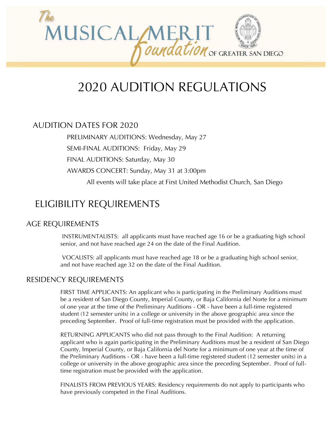

# 2020 AUDITION REGULATIONS

### AUDITION DATES FOR 2020

PRELIMINARY AUDITIONS: Wednesday, May 27

SEMI-FINAL AUDITIONS: Friday, May 29

FINAL AUDITIONS: Saturday, May 30

AWARDS CONCERT: Sunday, May 31 at 3:00pm

All events will take place at First United Methodist Church, San Diego

## ELIGIBILITY REQUIREMENTS

### AGE REQUIREMENTS

INSTRUMENTALISTS: all applicants must have reached age 16 or be a graduating high school senior, and not have reached age 24 on the date of the Final Audition.

VOCALISTS: all applicants must have reached age 18 or be a graduating high school senior, and not have reached age 32 on the date of the Final Audition.

### RESIDENCY REQUIREMENTS

FIRST TIME APPLICANTS: An applicant who is participating in the Preliminary Auditions must be a resident of San Diego County, Imperial County, or Baja California del Norte for a minimum of one year at the time of the Preliminary Auditions - OR - have been a full-time registered student (12 semester units) in a college or university in the above geographic area since the preceding September. Proof of full-time registration must be provided with the application.

RETURNING APPLICANTS who did not pass through to the Final Audition: A returning applicant who is again participating in the Preliminary Auditions must be a resident of San Diego County, Imperial County, or Baja California del Norte for a minimum of one year at the time of the Preliminary Auditions - OR - have been a full-time registered student (12 semester units) in a college or university in the above geographic area since the preceding September. Proof of fulltime registration must be provided with the application.

FINALISTS FROM PREVIOUS YEARS: Residency requirements do not apply to participants who have previously competed in the Final Auditions.